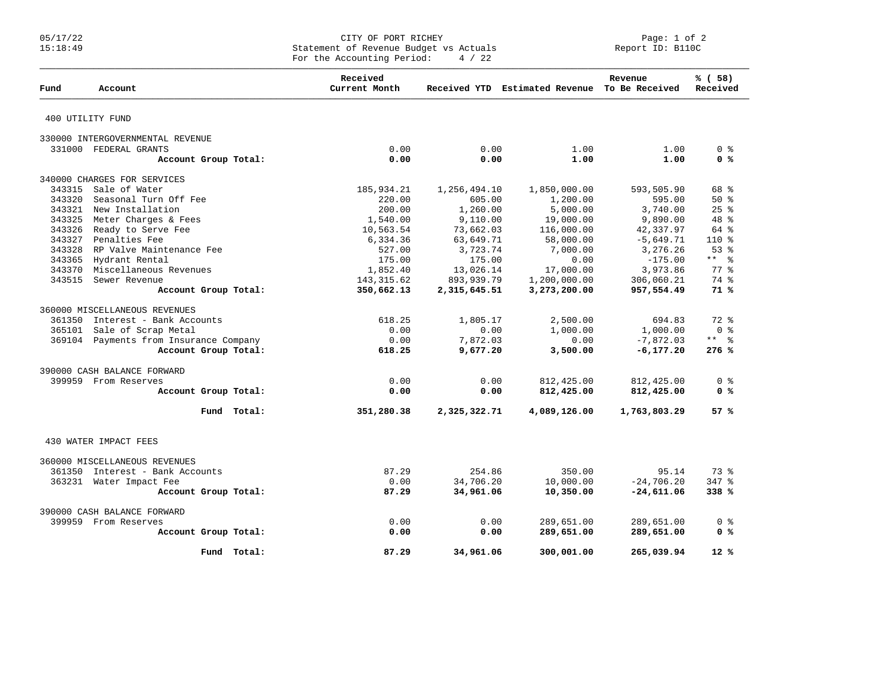## 05/17/22 CITY OF PORT RICHEY Page: 1 of 2 15:18:49 Statement of Revenue Budget vs Actuals Report ID: B110C For the Accounting Period:  $4 / 22$

| Fund   | Account                                | Received<br>Current Month |              | Received YTD Estimated Revenue To Be Received | Revenue      | % (58)<br>Received      |
|--------|----------------------------------------|---------------------------|--------------|-----------------------------------------------|--------------|-------------------------|
|        | 400 UTILITY FUND                       |                           |              |                                               |              |                         |
|        | 330000 INTERGOVERNMENTAL REVENUE       |                           |              |                                               |              |                         |
|        | 331000 FEDERAL GRANTS                  | 0.00                      | 0.00         | 1.00                                          | 1.00         | 0 <sup>8</sup>          |
|        | Account Group Total:                   | 0.00                      | 0.00         | 1.00                                          | 1.00         | 0 <sup>8</sup>          |
|        | 340000 CHARGES FOR SERVICES            |                           |              |                                               |              |                         |
| 343315 | Sale of Water                          | 185,934.21                | 1,256,494.10 | 1,850,000.00                                  | 593,505.90   | 68 %                    |
| 343320 | Seasonal Turn Off Fee                  | 220.00                    | 605.00       | 1,200.00                                      | 595.00       | $50*$                   |
|        | 343321 New Installation                | 200.00                    | 1,260.00     | 5,000.00                                      | 3,740.00     | $25$ $%$                |
|        | 343325 Meter Charges & Fees            | 1,540.00                  | 9,110.00     | 19,000.00                                     | 9,890.00     | 48 %                    |
| 343326 | Ready to Serve Fee                     | 10,563.54                 | 73,662.03    | 116,000.00                                    | 42,337.97    | 64 %                    |
|        | 343327 Penalties Fee                   | 6,334.36                  | 63,649.71    | 58,000.00                                     | $-5,649.71$  | $110*$                  |
|        | 343328 RP Valve Maintenance Fee        | 527.00                    | 3,723.74     | 7,000.00                                      | 3,276.26     | 53%                     |
|        | 343365 Hydrant Rental                  | 175.00                    | 175.00       | 0.00                                          | $-175.00$    | $***$ 8                 |
| 343370 | Miscellaneous Revenues                 | 1,852.40                  | 13,026.14    | 17,000.00                                     | 3,973.86     | 77.8                    |
| 343515 | Sewer Revenue                          | 143, 315.62               | 893,939.79   | 1,200,000.00                                  | 306,060.21   | 74 %                    |
|        | Account Group Total:                   | 350,662.13                | 2,315,645.51 | 3,273,200.00                                  | 957,554.49   | 71%                     |
|        | 360000 MISCELLANEOUS REVENUES          |                           |              |                                               |              |                         |
|        | 361350 Interest - Bank Accounts        | 618.25                    | 1,805.17     | 2,500.00                                      | 694.83       | $72$ $%$                |
| 365101 | Sale of Scrap Metal                    | 0.00                      | 0.00         | 1,000.00                                      | 1,000.00     | $0 \text{ }$ $\text{ }$ |
|        | 369104 Payments from Insurance Company | 0.00                      | 7,872.03     | 0.00                                          | $-7,872.03$  | $***$ $ \frac{6}{6}$    |
|        | Account Group Total:                   | 618.25                    | 9,677.20     | 3,500.00                                      | $-6, 177.20$ | 276%                    |
|        | 390000 CASH BALANCE FORWARD            |                           |              |                                               |              |                         |
|        | 399959 From Reserves                   | 0.00                      | 0.00         | 812,425.00                                    | 812,425.00   | 0 <sup>8</sup>          |
|        | Account Group Total:                   | 0.00                      | 0.00         | 812,425.00                                    | 812,425.00   | 0 <sup>8</sup>          |
|        | Fund Total:                            | 351,280.38                | 2,325,322.71 | 4,089,126.00                                  | 1,763,803.29 | 57%                     |
|        | 430 WATER IMPACT FEES                  |                           |              |                                               |              |                         |
|        | 360000 MISCELLANEOUS REVENUES          |                           |              |                                               |              |                         |
|        | 361350 Interest - Bank Accounts        | 87.29                     | 254.86       | 350.00                                        | 95.14        | 73%                     |
|        | 363231 Water Impact Fee                | 0.00                      | 34,706.20    | 10,000.00                                     | $-24,706.20$ | 347 %                   |
|        | Account Group Total:                   | 87.29                     | 34,961.06    | 10,350.00                                     | $-24,611.06$ | 338 %                   |
|        | 390000 CASH BALANCE FORWARD            |                           |              |                                               |              |                         |
|        | 399959 From Reserves                   | 0.00                      | 0.00         | 289,651.00                                    | 289,651.00   | 0 %                     |
|        | Account Group Total:                   | 0.00                      | 0.00         | 289,651.00                                    | 289,651.00   | 0 <sup>8</sup>          |
|        | Fund Total:                            | 87.29                     | 34,961.06    | 300,001.00                                    | 265,039.94   | $12*$                   |